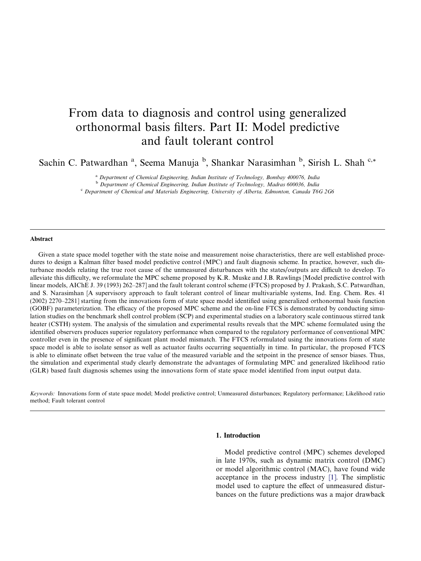# From data to diagnosis and control using generalized orthonormal basis filters. Part II: Model predictive and fault tolerant control

Sachin C. Patwardhan <sup>a</sup>, Seema Manuja <sup>b</sup>, Shankar Narasimhan <sup>b</sup>, Sirish L. Shah <sup>c,\*</sup>

<sup>a</sup> Department of Chemical Engineering, Indian Institute of Technology, Bombay 400076, India

b Department of Chemical Engineering, Indian Institute of Technology, Madras 600036, India

<sup>c</sup> Department of Chemical and Materials Engineering, University of Alberta, Edmonton, Canada T6G 2G6

#### Abstract

Given a state space model together with the state noise and measurement noise characteristics, there are well established procedures to design a Kalman filter based model predictive control (MPC) and fault diagnosis scheme. In practice, however, such disturbance models relating the true root cause of the unmeasured disturbances with the states/outputs are difficult to develop. To alleviate this difficulty, we reformulate the MPC scheme proposed by K.R. Muske and J.B. Rawlings [Model predictive control with linear models, AIChE J. 39 (1993) 262–287] and the fault tolerant control scheme (FTCS) proposed by J. Prakash, S.C. Patwardhan, and S. Narasimhan [A supervisory approach to fault tolerant control of linear multivariable systems, Ind. Eng. Chem. Res. 41 (2002) 2270–2281] starting from the innovations form of state space model identified using generalized orthonormal basis function (GOBF) parameterization. The efficacy of the proposed MPC scheme and the on-line FTCS is demonstrated by conducting simulation studies on the benchmark shell control problem (SCP) and experimental studies on a laboratory scale continuous stirred tank heater (CSTH) system. The analysis of the simulation and experimental results reveals that the MPC scheme formulated using the identified observers produces superior regulatory performance when compared to the regulatory performance of conventional MPC controller even in the presence of significant plant model mismatch. The FTCS reformulated using the innovations form of state space model is able to isolate sensor as well as actuator faults occurring sequentially in time. In particular, the proposed FTCS is able to eliminate offset between the true value of the measured variable and the setpoint in the presence of sensor biases. Thus, the simulation and experimental study clearly demonstrate the advantages of formulating MPC and generalized likelihood ratio (GLR) based fault diagnosis schemes using the innovations form of state space model identified from input output data.

Keywords: Innovations form of state space model; Model predictive control; Unmeasured disturbances; Regulatory performance; Likelihood ratio method; Fault tolerant control

#### 1. Introduction

Model predictive control (MPC) schemes developed in late 1970s, such as dynamic matrix control (DMC) or model algorithmic control (MAC), have found wide acceptance in the process industry [\[1\]](#page-17-0). The simplistic model used to capture the effect of unmeasured disturbances on the future predictions was a major drawback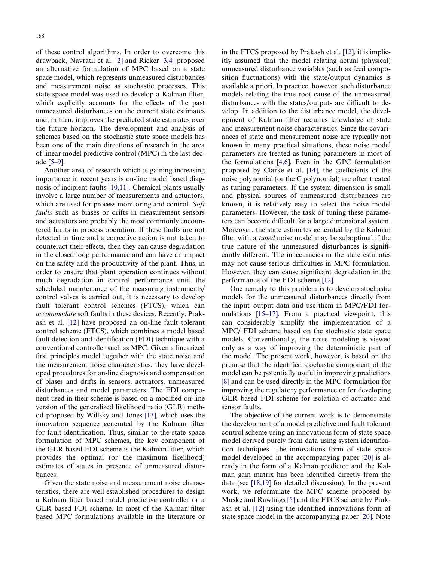of these control algorithms. In order to overcome this drawback, Navratil et al. [\[2\]](#page-17-0) and Ricker [\[3,4\]](#page-17-0) proposed an alternative formulation of MPC based on a state space model, which represents unmeasured disturbances and measurement noise as stochastic processes. This state space model was used to develop a Kalman filter, which explicitly accounts for the effects of the past unmeasured disturbances on the current state estimates and, in turn, improves the predicted state estimates over the future horizon. The development and analysis of schemes based on the stochastic state space models has been one of the main directions of research in the area of linear model predictive control (MPC) in the last decade [\[5–9\]](#page-18-0).

Another area of research which is gaining increasing importance in recent years is on-line model based diagnosis of incipient faults [\[10,11\].](#page-18-0) Chemical plants usually involve a large number of measurements and actuators, which are used for process monitoring and control. Soft faults such as biases or drifts in measurement sensors and actuators are probably the most commonly encountered faults in process operation. If these faults are not detected in time and a corrective action is not taken to counteract their effects, then they can cause degradation in the closed loop performance and can have an impact on the safety and the productivity of the plant. Thus, in order to ensure that plant operation continues without much degradation in control performance until the scheduled maintenance of the measuring instruments/ control valves is carried out, it is necessary to develop fault tolerant control schemes (FTCS), which can accommodate soft faults in these devices. Recently, Prakash et al. [\[12\]](#page-18-0) have proposed an on-line fault tolerant control scheme (FTCS), which combines a model based fault detection and identification (FDI) technique with a conventional controller such as MPC. Given a linearized first principles model together with the state noise and the measurement noise characteristics, they have developed procedures for on-line diagnosis and compensation of biases and drifts in sensors, actuators, unmeasured disturbances and model parameters. The FDI component used in their scheme is based on a modified on-line version of the generalized likelihood ratio (GLR) method proposed by Willsky and Jones [\[13\]](#page-18-0), which uses the innovation sequence generated by the Kalman filter for fault identification. Thus, similar to the state space formulation of MPC schemes, the key component of the GLR based FDI scheme is the Kalman filter, which provides the optimal (or the maximum likelihood) estimates of states in presence of unmeasured disturbances.

Given the state noise and measurement noise characteristics, there are well established procedures to design a Kalman filter based model predictive controller or a GLR based FDI scheme. In most of the Kalman filter based MPC formulations available in the literature or in the FTCS proposed by Prakash et al. [\[12\]](#page-18-0), it is implicitly assumed that the model relating actual (physical) unmeasured disturbance variables (such as feed composition fluctuations) with the state/output dynamics is available a priori. In practice, however, such disturbance models relating the true root cause of the unmeasured disturbances with the states/outputs are difficult to develop. In addition to the disturbance model, the development of Kalman filter requires knowledge of state and measurement noise characteristics. Since the covariances of state and measurement noise are typically not known in many practical situations, these noise model parameters are treated as tuning parameters in most of the formulations [\[4,6\].](#page-17-0) Even in the GPC formulation proposed by Clarke et al. [\[14\]](#page-18-0), the coefficients of the noise polynomial (or the C polynomial) are often treated as tuning parameters. If the system dimension is small and physical sources of unmeasured disturbances are known, it is relatively easy to select the noise model parameters. However, the task of tuning these parameters can become difficult for a large dimensional system. Moreover, the state estimates generated by the Kalman filter with a tuned noise model may be suboptimal if the true nature of the unmeasured disturbances is significantly different. The inaccuracies in the state estimates may not cause serious difficulties in MPC formulation. However, they can cause significant degradation in the performance of the FDI scheme [\[12\].](#page-18-0)

One remedy to this problem is to develop stochastic models for the unmeasured disturbances directly from the input–output data and use them in MPC/FDI formulations [\[15–17\].](#page-18-0) From a practical viewpoint, this can considerably simplify the implementation of a MPC/ FDI scheme based on the stochastic state space models. Conventionally, the noise modeling is viewed only as a way of improving the deterministic part of the model. The present work, however, is based on the premise that the identified stochastic component of the model can be potentially useful in improving predictions [\[8\]](#page-18-0) and can be used directly in the MPC formulation for improving the regulatory performance or for developing GLR based FDI scheme for isolation of actuator and sensor faults.

The objective of the current work is to demonstrate the development of a model predictive and fault tolerant control scheme using an innovations form of state space model derived purely from data using system identification techniques. The innovations form of state space model developed in the accompanying paper [\[20\]](#page-18-0) is already in the form of a Kalman predictor and the Kalman gain matrix has been identified directly from the data (see [\[18,19\]](#page-18-0) for detailed discussion). In the present work, we reformulate the MPC scheme proposed by Muske and Rawlings [\[5\]](#page-18-0) and the FTCS scheme by Prakash et al. [\[12\]](#page-18-0) using the identified innovations form of state space model in the accompanying paper [\[20\].](#page-18-0) Note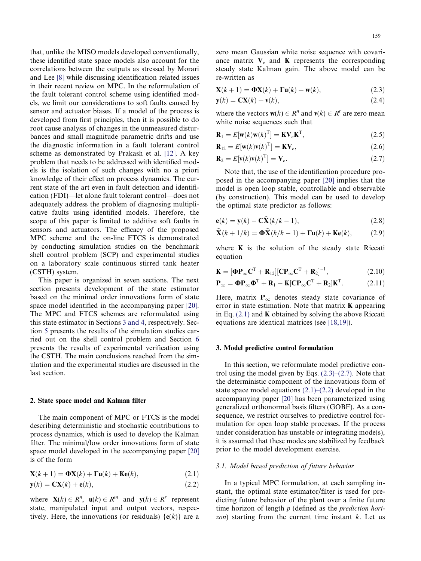<span id="page-2-0"></span>that, unlike the MISO models developed conventionally, these identified state space models also account for the correlations between the outputs as stressed by Morari and Lee [\[8\]](#page-18-0) while discussing identification related issues in their recent review on MPC. In the reformulation of the fault tolerant control scheme using identified models, we limit our considerations to soft faults caused by sensor and actuator biases. If a model of the process is developed from first principles, then it is possible to do root cause analysis of changes in the unmeasured disturbances and small magnitude parametric drifts and use the diagnostic information in a fault tolerant control scheme as demonstrated by Prakash et al. [\[12\]](#page-18-0). A key problem that needs to be addressed with identified models is the isolation of such changes with no a priori knowledge of their effect on process dynamics. The current state of the art even in fault detection and identification (FDI)—let alone fault tolerant control—does not adequately address the problem of diagnosing multiplicative faults using identified models. Therefore, the scope of this paper is limited to additive soft faults in sensors and actuators. The efficacy of the proposed MPC scheme and the on-line FTCS is demonstrated by conducting simulation studies on the benchmark shell control problem (SCP) and experimental studies on a laboratory scale continuous stirred tank heater (CSTH) system.

This paper is organized in seven sections. The next section presents development of the state estimator based on the minimal order innovations form of state space model identified in the accompanying paper [\[20\].](#page-18-0) The MPC and FTCS schemes are reformulated using this state estimator in Sections 3 and 4, respectively. Section [5](#page-7-0) presents the results of the simulation studies carried out on the shell control problem and Section [6](#page-12-0) presents the results of experimental verification using the CSTH. The main conclusions reached from the simulation and the experimental studies are discussed in the last section.

#### 2. State space model and Kalman filter

The main component of MPC or FTCS is the model describing deterministic and stochastic contributions to process dynamics, which is used to develop the Kalman filter. The minimal/low order innovations form of state space model developed in the accompanying paper [\[20\]](#page-18-0) is of the form

$$
\mathbf{X}(k+1) = \mathbf{\Phi} \mathbf{X}(k) + \mathbf{\Gamma} \mathbf{u}(k) + \mathbf{K} \mathbf{e}(k),
$$
 (2.1)

$$
\mathbf{y}(k) = \mathbf{C}\mathbf{X}(k) + \mathbf{e}(k),\tag{2.2}
$$

where  $\mathbf{X}(k) \in \mathbb{R}^n$ ,  $\mathbf{u}(k) \in \mathbb{R}^m$  and  $\mathbf{y}(k) \in \mathbb{R}^r$  represent state, manipulated input and output vectors, respectively. Here, the innovations (or residuals)  $\{e(k)\}\$ are a zero mean Gaussian white noise sequence with covariance matrix  $V_e$  and **K** represents the corresponding steady state Kalman gain. The above model can be re-written as

$$
\mathbf{X}(k+1) = \mathbf{\Phi} \mathbf{X}(k) + \mathbf{\Gamma} \mathbf{u}(k) + \mathbf{w}(k),
$$
 (2.3)

$$
\mathbf{y}(k) = \mathbf{C}\mathbf{X}(k) + \mathbf{v}(k),\tag{2.4}
$$

where the vectors  $w(k) \in R^n$  and  $v(k) \in R^r$  are zero mean white noise sequences such that

$$
\mathbf{R}_1 = E[\mathbf{w}(k)\mathbf{w}(k)^{\mathrm{T}}] = \mathbf{K} \mathbf{V}_e \mathbf{K}^{\mathrm{T}},
$$
\n(2.5)

$$
\mathbf{R}_{12} = E[\mathbf{w}(k)\mathbf{v}(k)^{\mathrm{T}}] = \mathbf{K} \mathbf{V}_e,\tag{2.6}
$$

$$
\mathbf{R}_2 = E[\mathbf{v}(k)\mathbf{v}(k)^{\mathrm{T}}] = \mathbf{V}_e.
$$
 (2.7)

Note that, the use of the identification procedure proposed in the accompanying paper [\[20\]](#page-18-0) implies that the model is open loop stable, controllable and observable (by construction). This model can be used to develop the optimal state predictor as follows:

$$
\mathbf{e}(k) = \mathbf{y}(k) - \mathbf{C}\widehat{\mathbf{X}}(k/k - 1),\tag{2.8}
$$

$$
\widehat{\mathbf{X}}(k+1/k) = \mathbf{\Phi}\widehat{\mathbf{X}}(k/k-1) + \mathbf{\Gamma}\mathbf{u}(k) + \mathbf{K}\mathbf{e}(k),\tag{2.9}
$$

where  $\bf{K}$  is the solution of the steady state Riccati equation

$$
\mathbf{K} = [\mathbf{\Phi} \mathbf{P}_{\infty} \mathbf{C}^{\mathrm{T}} + \mathbf{R}_{12}] [\mathbf{C} \mathbf{P}_{\infty} \mathbf{C}^{\mathrm{T}} + \mathbf{R}_{2}]^{-1}, \tag{2.10}
$$

$$
\mathbf{P}_{\infty} = \mathbf{\Phi} \mathbf{P}_{\infty} \mathbf{\Phi}^{\mathrm{T}} + \mathbf{R}_1 - \mathbf{K} [\mathbf{C} \mathbf{P}_{\infty} \mathbf{C}^{\mathrm{T}} + \mathbf{R}_2] \mathbf{K}^{\mathrm{T}}.
$$
 (2.11)

Here, matrix  $P_{\infty}$  denotes steady state covariance of error in state estimation. Note that matrix  $K$  appearing in Eq.  $(2.1)$  and **K** obtained by solving the above Riccati equations are identical matrices (see [\[18,19\]](#page-18-0)).

#### 3. Model predictive control formulation

In this section, we reformulate model predictive control using the model given by Eqs.  $(2.3)$ – $(2.7)$ . Note that the deterministic component of the innovations form of state space model equations  $(2.1)$ – $(2.2)$  developed in the accompanying paper [\[20\]](#page-18-0) has been parameterized using generalized orthonormal basis filters (GOBF). As a consequence, we restrict ourselves to predictive control formulation for open loop stable processes. If the process under consideration has unstable or integrating mode(s), it is assumed that these modes are stabilized by feedback prior to the model development exercise.

#### 3.1. Model based prediction of future behavior

In a typical MPC formulation, at each sampling instant, the optimal state estimator/filter is used for predicting future behavior of the plant over a finite future time horizon of length  $p$  (defined as the *prediction hori* $z$ on) starting from the current time instant  $k$ . Let us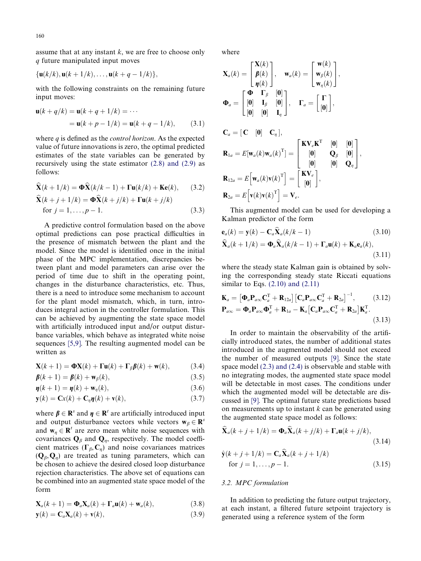<span id="page-3-0"></span>assume that at any instant  $k$ , we are free to choose only q future manipulated input moves

$$
\{\mathbf u(k/k),\mathbf u(k+1/k),\ldots,\mathbf u(k+q-1/k)\},\
$$

with the following constraints on the remaining future input moves:

$$
\mathbf{u}(k + q/k) = \mathbf{u}(k + q + 1/k) = \cdots
$$
  
=  $\mathbf{u}(k + p - 1/k) = \mathbf{u}(k + q - 1/k),$  (3.1)

where  $q$  is defined as the *control horizon*. As the expected value of future innovations is zero, the optimal predicted estimates of the state variables can be generated by recursively using the state estimator [\(2.8\) and \(2.9\)](#page-2-0) as follows:

$$
\widehat{\mathbf{X}}(k+1/k) = \mathbf{\Phi}\widehat{\mathbf{X}}(k/k-1) + \mathbf{\Gamma}\mathbf{u}(k/k) + \mathbf{K}\mathbf{e}(k), \qquad (3.2)
$$

$$
\mathbf{X}(k+j+1/k) = \mathbf{\Phi}\mathbf{X}(k+j/k) + \mathbf{\Gamma}\mathbf{u}(k+j/k)
$$
  
for  $j = 1, ..., p - 1$ . (3.3)

A predictive control formulation based on the above optimal predictions can pose practical difficulties in the presence of mismatch between the plant and the model. Since the model is identified once in the initial phase of the MPC implementation, discrepancies between plant and model parameters can arise over the period of time due to shift in the operating point, changes in the disturbance characteristics, etc. Thus, there is a need to introduce some mechanism to account for the plant model mismatch, which, in turn, introduces integral action in the controller formulation. This can be achieved by augmenting the state space model with artificially introduced input and/or output disturbance variables, which behave as integrated white noise sequences [\[5,9\]](#page-18-0). The resulting augmented model can be written as

$$
\mathbf{X}(k+1) = \mathbf{\Phi} \mathbf{X}(k) + \mathbf{\Gamma} \mathbf{u}(k) + \mathbf{\Gamma}_{\beta} \mathbf{\beta}(k) + \mathbf{w}(k),
$$
 (3.4)

$$
\boldsymbol{\beta}(k+1) = \boldsymbol{\beta}(k) + \mathbf{w}_{\beta}(k), \qquad (3.5)
$$

$$
\eta(k+1) = \eta(k) + \mathbf{w}_{\eta}(k),\tag{3.6}
$$

$$
\mathbf{y}(k) = \mathbf{C}x(k) + \mathbf{C}_{\eta}\boldsymbol{\eta}(k) + \mathbf{v}(k),
$$
\n(3.7)

where  $\beta \in \mathbb{R}^s$  and  $\eta \in \mathbb{R}^t$  are artificially introduced input and output disturbance vectors while vectors  $w_{\beta} \in \mathbb{R}^{s}$ and  $w_n \in \mathbb{R}^t$  are zero mean white noise sequences with covariances  $\mathbf{Q}_{\beta}$  and  $\mathbf{Q}_{\eta}$ , respectively. The model coefficient matrices ( $\Gamma_{\beta}, \mathbf{C}_\eta$ ) and noise covariances matrices  $(Q_{\beta}, Q_{n})$  are treated as tuning parameters, which can be chosen to achieve the desired closed loop disturbance rejection characteristics. The above set of equations can be combined into an augmented state space model of the form

$$
\mathbf{X}_a(k+1) = \mathbf{\Phi}_a \mathbf{X}_a(k) + \mathbf{\Gamma}_a \mathbf{u}(k) + \mathbf{w}_a(k), \qquad (3.8)
$$

$$
\mathbf{y}(k) = \mathbf{C}_a \mathbf{X}_a(k) + \mathbf{v}(k),\tag{3.9}
$$

where

$$
\mathbf{X}_{a}(k) = \begin{bmatrix} \mathbf{X}(k) \\ \boldsymbol{\beta}(k) \\ \boldsymbol{\eta}(k) \end{bmatrix}, \quad \mathbf{w}_{a}(k) = \begin{bmatrix} \mathbf{w}(k) \\ \mathbf{w}_{\beta}(k) \\ \mathbf{w}_{\eta}(k) \end{bmatrix},
$$

$$
\mathbf{\Phi}_{a} = \begin{bmatrix} \mathbf{\Phi} & \mathbf{\Gamma}_{\beta} & [0] \\ [0] & \mathbf{I}_{\beta} & [0] \\ [0] & [0] & \mathbf{I}_{\eta} \end{bmatrix}, \quad \mathbf{\Gamma}_{a} = \begin{bmatrix} \mathbf{\Gamma} \\ [0] \end{bmatrix},
$$

$$
\mathbf{C}_{a} = [\mathbf{C} \quad [0] \quad \mathbf{C}_{\eta}],
$$

$$
\mathbf{R}_{1a} = E[\mathbf{w}_{a}(k)\mathbf{w}_{a}(k)^{T}] = \begin{bmatrix} \mathbf{K}\mathbf{V}_{e}\mathbf{K}^{T} & [0] & [0] \\ [0] & \mathbf{Q}_{\beta} & [0] \\ [0] & [0] & \mathbf{Q}_{\eta} \end{bmatrix},
$$

$$
\mathbf{R}_{12a} = E[\mathbf{w}_{a}(k)\mathbf{v}(k)^{T}] = \begin{bmatrix} \mathbf{K}\mathbf{V}_{e} \\ [0] \end{bmatrix},
$$

$$
\mathbf{R}_{2a} = E[\mathbf{v}(k)\mathbf{v}(k)^{T}] = \mathbf{V}_{e}.
$$

This augmented model can be used for developing a Kalman predictor of the form

$$
\mathbf{e}_a(k) = \mathbf{y}(k) - \mathbf{C}_a \widehat{\mathbf{X}}_a(k/k - 1)
$$
(3.10)  

$$
\widehat{\mathbf{X}}_a(k + 1/k) = \mathbf{\Phi}_a \widehat{\mathbf{X}}_a(k/k - 1) + \mathbf{\Gamma}_a \mathbf{u}(k) + \mathbf{K}_a \mathbf{e}_a(k),
$$
(3.11)

where the steady state Kalman gain is obtained by solving the corresponding steady state Riccati equations similar to Eqs.  $(2.10)$  and  $(2.11)$ 

$$
\mathbf{K}_{a} = [\mathbf{\Phi}_{a} \mathbf{P}_{a\infty} \mathbf{C}_{a}^{T} + \mathbf{R}_{12a}] [\mathbf{C}_{a} \mathbf{P}_{a\infty} \mathbf{C}_{a}^{T} + \mathbf{R}_{2a}]^{-1},
$$
(3.12)  

$$
\mathbf{P}_{a\infty} = \mathbf{\Phi}_{a} \mathbf{P}_{a\infty} \mathbf{\Phi}_{a}^{T} + \mathbf{R}_{1a} - \mathbf{K}_{a} [\mathbf{C}_{a} \mathbf{P}_{a\infty} \mathbf{C}_{a}^{T} + \mathbf{R}_{2a}] \mathbf{K}_{a}^{T}.
$$
(3.13)

In order to maintain the observability of the artificially introduced states, the number of additional states introduced in the augmented model should not exceed the number of measured outputs [\[9\].](#page-18-0) Since the state space model [\(2.3\) and \(2.4\)](#page-2-0) is observable and stable with no integrating modes, the augmented state space model will be detectable in most cases. The conditions under which the augmented model will be detectable are discussed in [\[9\].](#page-18-0) The optimal future state predictions based on measurements up to instant  $k$  can be generated using the augmented state space model as follows:

$$
\mathbf{X}_a(k+j+1/k) = \mathbf{\Phi}_a \mathbf{X}_a(k+j/k) + \mathbf{\Gamma}_a \mathbf{u}(k+j/k),
$$
\n(3.14)\n
$$
\hat{\mathbf{y}}(k+j+1/k) = \mathbf{C}_a \hat{\mathbf{X}}_a(k+j+1/k)
$$
\nfor  $j = 1, ..., p - 1$ . (3.15)

## 3.2. MPC formulation

In addition to predicting the future output trajectory, at each instant, a filtered future setpoint trajectory is generated using a reference system of the form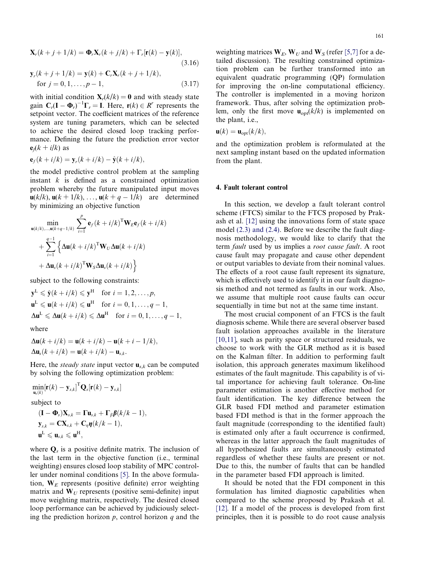$$
\mathbf{X}_r(k+j+1/k) = \mathbf{\Phi}_r \mathbf{X}_r(k+j/k) + \Gamma_r[\mathbf{r}(k) - \mathbf{y}(k)],
$$
\n(3.16)

$$
\mathbf{y}_r(k+j+1/k) = \mathbf{y}(k) + \mathbf{C}_r \mathbf{X}_r(k+j+1/k),
$$
  
for  $j = 0, 1, ..., p-1,$  (3.17)

with initial condition  $X_r(k/k) = 0$  and with steady state gain  $C_r(I - \Phi_r)^{-1} \Gamma_r = I$ . Here,  $r(k) \in R^r$  represents the setpoint vector. The coefficient matrices of the reference system are tuning parameters, which can be selected to achieve the desired closed loop tracking performance. Defining the future the prediction error vector  $e_1(k + i/k)$  as

$$
\mathbf{e}_f(k+i/k) = \mathbf{y}_r(k+i/k) - \hat{\mathbf{y}}(k+i/k),
$$

the model predictive control problem at the sampling instant  $k$  is defined as a constrained optimization problem whereby the future manipulated input moves  $u(k/k)$ ,  $u(k+1/k)$ , ...,  $u(k+q-1/k)$  are determined by minimizing an objective function

$$
\min_{\mathbf{u}(k/k),\dots,\mathbf{u}(k+q-1/k)} \sum_{i=1}^{p} \mathbf{e}_f(k+i/k)^{\mathrm{T}} \mathbf{W}_E \mathbf{e}_f(k+i/k)
$$

$$
+ \sum_{i=1}^{q-1} \left\{ \Delta \mathbf{u}(k+i/k)^{\mathrm{T}} \mathbf{W}_U \Delta \mathbf{u}(k+i/k) + \Delta \mathbf{u}_s (k+i/k)^{\mathrm{T}} \mathbf{W}_S \Delta \mathbf{u}_s(k+i/k) \right\}
$$

subject to the following constraints:

$$
\mathbf{y}^{\mathsf{L}} \leq \hat{\mathbf{y}}(k + i/k) \leq \mathbf{y}^{\mathsf{H}} \quad \text{for } i = 1, 2, \dots, p,
$$
  
\n
$$
\mathbf{u}^{\mathsf{L}} \leq \mathbf{u}(k + i/k) \leq \mathbf{u}^{\mathsf{H}} \quad \text{for } i = 0, 1, \dots, q - 1,
$$
  
\n
$$
\Delta \mathbf{u}^{\mathsf{L}} \leq \Delta \mathbf{u}(k + i/k) \leq \Delta \mathbf{u}^{\mathsf{H}} \quad \text{for } i = 0, 1, \dots, q - 1,
$$

where

$$
\Delta \mathbf{u}(k + i/k) = \mathbf{u}(k + i/k) - \mathbf{u}(k + i - 1/k),
$$
  

$$
\Delta \mathbf{u}_s(k + i/k) = \mathbf{u}(k + i/k) - \mathbf{u}_{s,k}.
$$

Here, the *steady state* input vector  $\mathbf{u}_{s,k}$  can be computed by solving the following optimization problem:

$$
\min_{\mathbf{u}_s(k)}[\mathbf{r}(k)-\mathbf{y}_{s,k}]^{\mathrm{T}}\mathbf{Q}_s[\mathbf{r}(k)-\mathbf{y}_{s,k}]
$$

subject to

$$
(\mathbf{I} - \mathbf{\Phi}_s) \mathbf{X}_{s,k} = \mathbf{\Gamma} \mathbf{u}_{s,k} + \mathbf{\Gamma}_\beta \boldsymbol{\beta}(k/k - 1),
$$
  
\n
$$
\mathbf{y}_{s,k} = \mathbf{C} \mathbf{X}_{s,k} + \mathbf{C}_\eta \boldsymbol{\eta}(k/k - 1),
$$
  
\n
$$
\mathbf{u}^{\mathbf{L}} \leq \mathbf{u}_{s,k} \leq \mathbf{u}^{\mathbf{H}},
$$

where  $\mathbf{Q}_s$  is a positive definite matrix. The inclusion of the last term in the objective function (i.e., terminal weighting) ensures closed loop stability of MPC controller under nominal conditions [\[5\].](#page-18-0) In the above formulation,  $W_E$  represents (positive definite) error weighting matrix and  $W_U$  represents (positive semi-definite) input move weighting matrix, respectively. The desired closed loop performance can be achieved by judiciously selecting the prediction horizon  $p$ , control horizon  $q$  and the

weighting matrices  $W_E$ ,  $W_U$  and  $W_S$  (refer [\[5,7\]](#page-18-0) for a detailed discussion). The resulting constrained optimization problem can be further transformed into an equivalent quadratic programming (QP) formulation for improving the on-line computational efficiency. The controller is implemented in a moving horizon framework. Thus, after solving the optimization problem, only the first move  $\mathbf{u}_{opt}(k/k)$  is implemented on the plant, i.e.,

 $\mathbf{u}(k) = \mathbf{u}_{\text{opt}}(k/k),$ 

and the optimization problem is reformulated at the next sampling instant based on the updated information from the plant.

#### 4. Fault tolerant control

In this section, we develop a fault tolerant control scheme (FTCS) similar to the FTCS proposed by Prakash et al. [\[12\]](#page-18-0) using the innovations form of state space model [\(2.3\) and \(2.4\)](#page-2-0). Before we describe the fault diagnosis methodology, we would like to clarify that the term fault used by us implies a root cause fault. A root cause fault may propagate and cause other dependent or output variables to deviate from their nominal values. The effects of a root cause fault represent its signature, which is effectively used to identify it in our fault diagnosis method and not termed as faults in our work. Also, we assume that multiple root cause faults can occur sequentially in time but not at the same time instant.

The most crucial component of an FTCS is the fault diagnosis scheme. While there are several observer based fault isolation approaches available in the literature [\[10,11\],](#page-18-0) such as parity space or structured residuals, we choose to work with the GLR method as it is based on the Kalman filter. In addition to performing fault isolation, this approach generates maximum likelihood estimates of the fault magnitude. This capability is of vital importance for achieving fault tolerance. On-line parameter estimation is another effective method for fault identification. The key difference between the GLR based FDI method and parameter estimation based FDI method is that in the former approach the fault magnitude (corresponding to the identified fault) is estimated only after a fault occurrence is confirmed, whereas in the latter approach the fault magnitudes of all hypothesized faults are simultaneously estimated regardless of whether these faults are present or not. Due to this, the number of faults that can be handled in the parameter based FDI approach is limited.

It should be noted that the FDI component in this formulation has limited diagnostic capabilities when compared to the scheme proposed by Prakash et al. [\[12\].](#page-18-0) If a model of the process is developed from first principles, then it is possible to do root cause analysis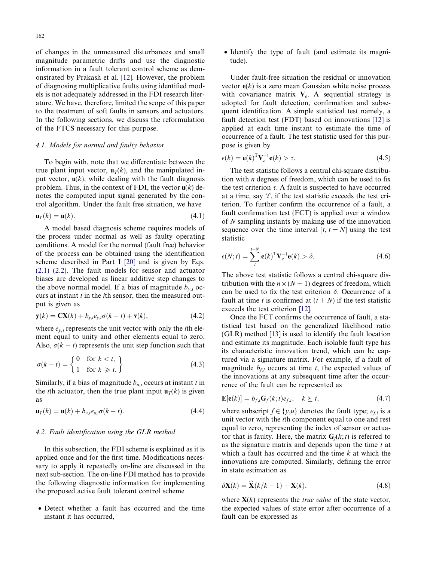of changes in the unmeasured disturbances and small magnitude parametric drifts and use the diagnostic information in a fault tolerant control scheme as demonstrated by Prakash et al. [\[12\].](#page-18-0) However, the problem of diagnosing multiplicative faults using identified models is not adequately addressed in the FDI research literature. We have, therefore, limited the scope of this paper to the treatment of soft faults in sensors and actuators. In the following sections, we discuss the reformulation of the FTCS necessary for this purpose.

#### 4.1. Models for normal and faulty behavior

To begin with, note that we differentiate between the true plant input vector,  $\mathbf{u}_T(k)$ , and the manipulated input vector,  $\mathbf{u}(k)$ , while dealing with the fault diagnosis problem. Thus, in the context of FDI, the vector  $u(k)$  denotes the computed input signal generated by the control algorithm. Under the fault free situation, we have

$$
\mathbf{u}_T(k) = \mathbf{u}(k). \tag{4.1}
$$

A model based diagnosis scheme requires models of the process under normal as well as faulty operating conditions. A model for the normal (fault free) behavior of the process can be obtained using the identification scheme described in Part I [\[20\]](#page-18-0) and is given by Eqs.  $(2.1)$ – $(2.2)$ . The fault models for sensor and actuator biases are developed as linear additive step changes to the above normal model. If a bias of magnitude  $b_{v,i}$  occurs at instant  $t$  in the *i*th sensor, then the measured output is given as

$$
\mathbf{y}(k) = \mathbf{C}\mathbf{X}(k) + b_{y,i}e_{y,i}\sigma(k-t) + \mathbf{v}(k),
$$
\n(4.2)

where  $e_y$  represents the unit vector with only the *i*th element equal to unity and other elements equal to zero. Also,  $\sigma(k - t)$  represents the unit step function such that

$$
\sigma(k-t) = \begin{cases} 0 & \text{for } k < t, \\ 1 & \text{for } k \geq t. \end{cases} \tag{4.3}
$$

Similarly, if a bias of magnitude  $b_{u,i}$  occurs at instant t in the *i*th actuator, then the true plant input  $u_T(k)$  is given as

$$
\mathbf{u}_T(k) = \mathbf{u}(k) + b_{u,i}e_{u,i}\sigma(k-t). \tag{4.4}
$$

### 4.2. Fault identification using the GLR method

In this subsection, the FDI scheme is explained as it is applied once and for the first time. Modifications necessary to apply it repeatedly on-line are discussed in the next sub-section. The on-line FDI method has to provide the following diagnostic information for implementing the proposed active fault tolerant control scheme

• Detect whether a fault has occurred and the time instant it has occurred,

• Identify the type of fault (and estimate its magnitude).

Under fault-free situation the residual or innovation vector  $e(k)$  is a zero mean Gaussian white noise process with covariance matrix  $V_e$ . A sequential strategy is adopted for fault detection, confirmation and subsequent identification. A simple statistical test namely, a fault detection test (FDT) based on innovations [\[12\]](#page-18-0) is applied at each time instant to estimate the time of occurrence of a fault. The test statistic used for this purpose is given by

$$
\epsilon(k) = \mathbf{e}(k)^{\mathrm{T}} \mathbf{V}_e^{-1} \mathbf{e}(k) > \tau. \tag{4.5}
$$

The test statistic follows a central chi-square distribution with  $n$  degrees of freedom, which can be used to fix the test criterion  $\tau$ . A fault is suspected to have occurred at a time, say  $t$ , if the test statistic exceeds the test criterion. To further confirm the occurrence of a fault, a fault confirmation test (FCT) is applied over a window of N sampling instants by making use of the innovation sequence over the time interval [t,  $t + N$ ] using the test statistic

$$
\epsilon(N;t) = \sum_{t}^{t+N} \mathbf{e}(k)^{\mathrm{T}} \mathbf{V}_e^{-1} \mathbf{e}(k) > \delta.
$$
 (4.6)

The above test statistic follows a central chi-square distribution with the  $n \times (N + 1)$  degrees of freedom, which can be used to fix the test criterion  $\delta$ . Occurrence of a fault at time t is confirmed at  $(t + N)$  if the test statistic exceeds the test criterion [\[12\]](#page-18-0).

Once the FCT confirms the occurrence of fault, a statistical test based on the generalized likelihood ratio (GLR) method [\[13\]](#page-18-0) is used to identify the fault location and estimate its magnitude. Each isolable fault type has its characteristic innovation trend, which can be captured via a signature matrix. For example, if a fault of magnitude  $b_{f,i}$  occurs at time t, the expected values of the innovations at any subsequent time after the occurrence of the fault can be represented as

$$
\mathbf{E}[\mathbf{e}(k)] = b_{f,i} \mathbf{G}_f(k; t) e_{f,i}, \quad k \ge t,
$$
\n(4.7)

where subscript  $f \in \{y, u\}$  denotes the fault type;  $e_{fi}$  is a unit vector with the ith component equal to one and rest equal to zero, representing the index of sensor or actuator that is faulty. Here, the matrix  $G_i(k; t)$  is referred to as the signature matrix and depends upon the time  $t$  at which a fault has occurred and the time  $k$  at which the innovations are computed. Similarly, defining the error in state estimation as

$$
\delta \mathbf{X}(k) = \mathbf{\hat{X}}(k/k - 1) - \mathbf{X}(k),\tag{4.8}
$$

where  $X(k)$  represents the *true value* of the state vector, the expected values of state error after occurrence of a fault can be expressed as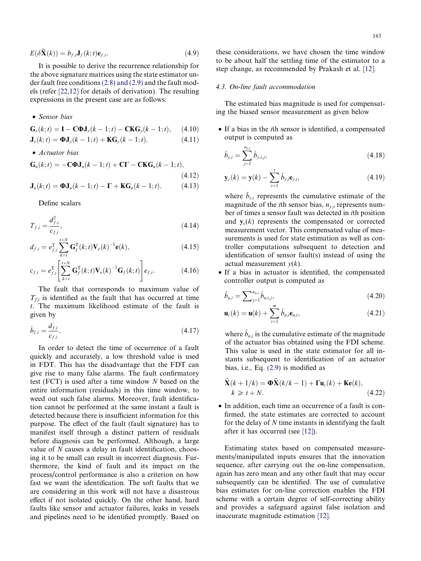$$
E(\delta \mathbf{X}(k)) = b_{f,i} \mathbf{J}_f(k; t) \mathbf{e}_{f,i}.
$$
\n(4.9)

It is possible to derive the recurrence relationship for the above signature matrices using the state estimator under fault free conditions [\(2.8\) and \(2.9\)](#page-2-0) and the fault models (refer [\[22,12\]](#page-18-0) for details of derivation). The resulting expressions in the present case are as follows:

• Sensor bias

$$
\mathbf{G}_y(k;t) = \mathbf{I} - \mathbf{C}\mathbf{\Phi}\mathbf{J}_y(k-1;t) - \mathbf{CKG}_y(k-1;t), \qquad (4.10)
$$

$$
\mathbf{J}_y(k;t) = \mathbf{\Phi} \mathbf{J}_y(k-1;t) + \mathbf{K} \mathbf{G}_y(k-1;t). \tag{4.11}
$$

• Actuator bias

$$
\mathbf{G}_{u}(k;t) = -\mathbf{C}\mathbf{\Phi}\mathbf{J}_{u}(k-1;t) + \mathbf{C}\mathbf{\Gamma} - \mathbf{CKG}_{u}(k-1;t),
$$
\n(4.12)\n
$$
\mathbf{J}_{u}(k;t) = \mathbf{\Phi}\mathbf{J}_{u}(k-1;t) - \mathbf{\Gamma} + \mathbf{KG}_{u}(k-1;t). \tag{4.13}
$$

Define scalars

$$
T_{f,i} = \frac{d_{f,i}^2}{c_{f,i}},
$$
\n(4.14)

$$
d_{f,i} = e_{f,i}^{\mathrm{T}} \sum_{k=t}^{t+N} \mathbf{G}_f^{\mathrm{T}}(k;t) \mathbf{V}_e(k)^{-1} \mathbf{e}(k), \qquad (4.15)
$$

$$
c_{f,i} = e_{f,i}^{\mathrm{T}} \left[ \sum_{k=t}^{t+N} \mathbf{G}_f^{\mathrm{T}}(k;t) \mathbf{V}_e(k)^{-1} \mathbf{G}_f(k;t) \right] e_{f,i}.
$$
 (4.16)

The fault that corresponds to maximum value of  $T_{f,i}$  is identified as the fault that has occurred at time t. The maximum likelihood estimate of the fault is given by

$$
\hat{b}_{f,i} = \frac{d_{f,i}}{c_{f,i}}.\tag{4.17}
$$

In order to detect the time of occurrence of a fault quickly and accurately, a low threshold value is used in FDT. This has the disadvantage that the FDT can give rise to many false alarms. The fault confirmatory test (FCT) is used after a time window  $N$  based on the entire information (residuals) in this time window, to weed out such false alarms. Moreover, fault identification cannot be performed at the same instant a fault is detected because there is insufficient information for this purpose. The effect of the fault (fault signature) has to manifest itself through a distinct pattern of residuals before diagnosis can be performed. Although, a large value of N causes a delay in fault identification, choosing it to be small can result in incorrect diagnosis. Furthermore, the kind of fault and its impact on the process/control performance is also a criterion on how fast we want the identification. The soft faults that we are considering in this work will not have a disastrous effect if not isolated quickly. On the other hand, hard faults like sensor and actuator failures, leaks in vessels and pipelines need to be identified promptly. Based on

these considerations, we have chosen the time window to be about half the settling time of the estimator to a step change, as recommended by Prakash et al. [\[12\].](#page-18-0)

### 4.3. On-line fault accommodation

The estimated bias magnitude is used for compensating the biased sensor measurement as given below

• If a bias in the ith sensor is identified, a compensated output is computed as

$$
\tilde{b}_{y,i} = \sum_{j=1}^{n_{y,i}} \hat{b}_{y,i,j},
$$
\n(4.18)

$$
\mathbf{y}_c(k) = \mathbf{y}(k) - \sum_{i=1}^r \tilde{b}_{y,i} \mathbf{e}_{y,i},
$$
\n(4.19)

where  $b_{y,i}$  represents the cumulative estimate of the magnitude of the *i*th sensor bias,  $n_{v,i}$  represents number of times a sensor fault was detected in ith position and  $y_c(k)$  represents the compensated or corrected measurement vector. This compensated value of measurements is used for state estimation as well as controller computations subsequent to detection and identification of sensor fault(s) instead of using the actual measurement  $v(k)$ .

• If a bias in actuator is identified, the compensated controller output is computed as

$$
\tilde{b}_{u,i} = \sum_{j=1}^{n_{u,i}} \hat{b}_{u,i,j},
$$
\n(4.20)

$$
\mathbf{u}_c(k) = \mathbf{u}(k) + \sum_{i=1}^{m} \tilde{b}_{u,i} \mathbf{e}_{u,i},
$$
\n(4.21)

where  $\tilde{b}_{u,i}$  is the cumulative estimate of the magnitude of the actuator bias obtained using the FDI scheme. This value is used in the state estimator for all instants subsequent to identification of an actuator bias, i.e., Eq. (2.9) is modified as

$$
\ddot{\mathbf{X}}(k+1/k) = \mathbf{\Phi}\mathbf{X}(k/k-1) + \mathbf{\Gamma}\mathbf{u}_c(k) + \mathbf{K}\mathbf{e}(k),
$$
\n
$$
k \geq t + N.
$$
\n(4.22)

• In addition, each time an occurrence of a fault is confirmed, the state estimates are corrected to account for the delay of N time instants in identifying the fault after it has occurred (see [\[12\]\)](#page-18-0).

Estimating states based on compensated measurements/manipulated inputs ensures that the innovation sequence, after carrying out the on-line compensation, again has zero mean and any other fault that may occur subsequently can be identified. The use of cumulative bias estimates for on-line correction enables the FDI scheme with a certain degree of self-correcting ability and provides a safeguard against false isolation and inaccurate magnitude estimation [\[12\]](#page-18-0).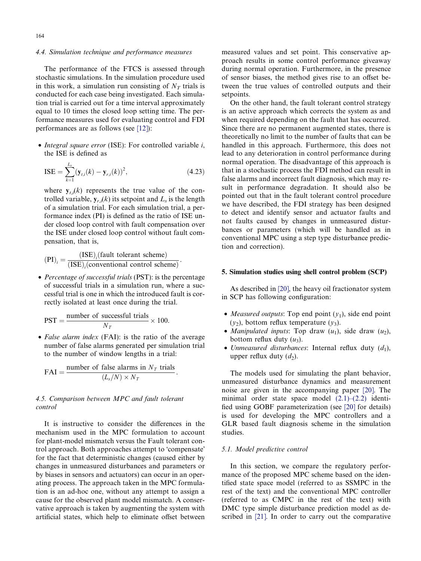## <span id="page-7-0"></span>4.4. Simulation technique and performance measures

The performance of the FTCS is assessed through stochastic simulations. In the simulation procedure used in this work, a simulation run consisting of  $N<sub>T</sub>$  trials is conducted for each case being investigated. Each simulation trial is carried out for a time interval approximately equal to 10 times the closed loop setting time. The performance measures used for evaluating control and FDI performances are as follows (see [\[12\]](#page-18-0)):

• Integral square error (ISE): For controlled variable  $i$ , the ISE is defined as

$$
ISE = \sum_{k=1}^{L_s} (\mathbf{y}_{t,i}(k) - \mathbf{y}_{r,i}(k))^2,
$$
\n(4.23)

where  $y_{t,i}(k)$  represents the true value of the controlled variable,  $y_{r,i}(k)$  its setpoint and  $L_s$  is the length of a simulation trial. For each simulation trial, a performance index (PI) is defined as the ratio of ISE under closed loop control with fault compensation over the ISE under closed loop control without fault compensation, that is,

$$
(PI)i = \frac{(ISE)i(fault tolerant scheme)}{(ISE)i(conventional control scheme)}
$$

• Percentage of successful trials (PST): is the percentage of successful trials in a simulation run, where a successful trial is one in which the introduced fault is correctly isolated at least once during the trial.

.

$$
PST = \frac{\text{number of successful trials}}{N_T} \times 100.
$$

• False alarm index (FAI): is the ratio of the average number of false alarms generated per simulation trial to the number of window lengths in a trial:

$$
FAI = \frac{\text{number of false alarms in } N_T \text{ trials}}{(L_s/N) \times N_T}.
$$

# 4.5. Comparison between MPC and fault tolerant control

It is instructive to consider the differences in the mechanism used in the MPC formulation to account for plant-model mismatch versus the Fault tolerant control approach. Both approaches attempt to 'compensate' for the fact that deterministic changes (caused either by changes in unmeasured disturbances and parameters or by biases in sensors and actuators) can occur in an operating process. The approach taken in the MPC formulation is an ad-hoc one, without any attempt to assign a cause for the observed plant model mismatch. A conservative approach is taken by augmenting the system with artificial states, which help to eliminate offset between measured values and set point. This conservative approach results in some control performance giveaway during normal operation. Furthermore, in the presence of sensor biases, the method gives rise to an offset between the true values of controlled outputs and their setpoints.

On the other hand, the fault tolerant control strategy is an active approach which corrects the system as and when required depending on the fault that has occurred. Since there are no permanent augmented states, there is theoretically no limit to the number of faults that can be handled in this approach. Furthermore, this does not lead to any deterioration in control performance during normal operation. The disadvantage of this approach is that in a stochastic process the FDI method can result in false alarms and incorrect fault diagnosis, which may result in performance degradation. It should also be pointed out that in the fault tolerant control procedure we have described, the FDI strategy has been designed to detect and identify sensor and actuator faults and not faults caused by changes in unmeasured disturbances or parameters (which will be handled as in conventional MPC using a step type disturbance prediction and correction).

#### 5. Simulation studies using shell control problem (SCP)

As described in [\[20\]](#page-18-0), the heavy oil fractionator system in SCP has following configuration:

- *Measured outputs*: Top end point  $(y_1)$ , side end point  $(y_2)$ , bottom reflux temperature  $(y_3)$ .
- *Manipulated inputs*: Top draw  $(u_1)$ , side draw  $(u_2)$ , bottom reflux duty  $(u_3)$ .
- Unmeasured disturbances: Internal reflux duty  $(d_1)$ , upper reflux duty  $(d_2)$ .

The models used for simulating the plant behavior, unmeasured disturbance dynamics and measurement noise are given in the accompanying paper [\[20\].](#page-18-0) The minimal order state space model  $(2.1)$ – $(2.2)$  identified using GOBF parameterization (see [\[20\]](#page-18-0) for details) is used for developing the MPC controllers and a GLR based fault diagnosis scheme in the simulation studies.

## 5.1. Model predictive control

In this section, we compare the regulatory performance of the proposed MPC scheme based on the identified state space model (referred to as SSMPC in the rest of the text) and the conventional MPC controller (referred to as CMPC in the rest of the text) with DMC type simple disturbance prediction model as described in [\[21\]](#page-18-0). In order to carry out the comparative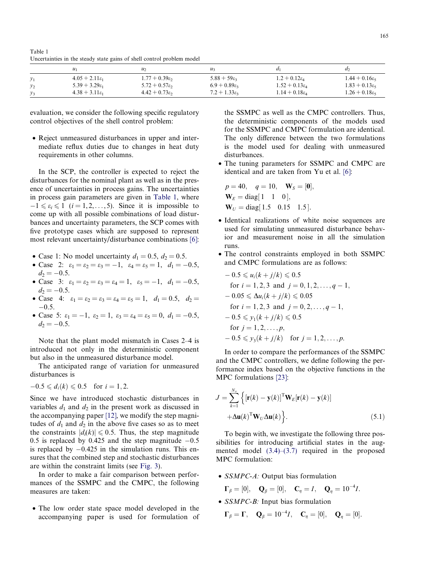|       | u1                      | u <sub>2</sub>             | $u_3$                     | a                         | $\iota$                    |  |
|-------|-------------------------|----------------------------|---------------------------|---------------------------|----------------------------|--|
| $y_1$ | $4.05 + 2.11\epsilon_1$ | $1.77 + 0.39\epsilon_2$    | $5.88 + 59\epsilon_3$     | $1.2 + 0.12\varepsilon_4$ | $1.44 + 0.16\varepsilon_5$ |  |
| $y_2$ | $5.39 + 3.29\epsilon_1$ | $5.72 + 0.57\varepsilon_2$ | $6.9 + 0.89\epsilon_3$    | $1.52 + 0.13\epsilon_4$   | $1.83 + 0.13\epsilon_5$    |  |
| $y_3$ | $4.38 + 3.11\epsilon_1$ | $4.42 + 0.73\varepsilon_2$ | $7.2 + 1.33\varepsilon_3$ | $1.14 + 0.18\epsilon_4$   | $1.26+0.18\epsilon_5$      |  |

<span id="page-8-0"></span>Table 1 Uncertainties in the steady state gains of shell control problem model

evaluation, we consider the following specific regulatory control objectives of the shell control problem:

• Reject unmeasured disturbances in upper and intermediate reflux duties due to changes in heat duty requirements in other columns.

In the SCP, the controller is expected to reject the disturbances for the nominal plant as well as in the presence of uncertainties in process gains. The uncertainties in process gain parameters are given in Table 1, where  $-1 \leq \varepsilon_i \leq 1$  ( $i = 1, 2, \ldots, 5$ ). Since it is impossible to come up with all possible combinations of load disturbances and uncertainty parameters, the SCP comes with five prototype cases which are supposed to represent most relevant uncertainty/disturbance combinations [\[6\]:](#page-18-0)

- Case 1: No model uncertainty  $d_1 = 0.5$ ,  $d_2 = 0.5$ .
- Case 2:  $\varepsilon_1 = \varepsilon_2 = \varepsilon_3 = -1$ ,  $\varepsilon_4 = \varepsilon_5 = 1$ ,  $d_1 = -0.5$ ,  $d_2 = -0.5$ .
- Case 3:  $\varepsilon_1 = \varepsilon_2 = \varepsilon_3 = \varepsilon_4 = 1$ ,  $\varepsilon_5 = -1$ ,  $d_1 = -0.5$ ,  $d_2 = -0.5$ .
- Case 4:  $\varepsilon_1 = \varepsilon_2 = \varepsilon_3 = \varepsilon_4 = \varepsilon_5 = 1$ ,  $d_1 = 0.5$ ,  $d_2 =$  $-0.5.$
- Case 5:  $\varepsilon_1 = -1$ ,  $\varepsilon_2 = 1$ ,  $\varepsilon_3 = \varepsilon_4 = \varepsilon_5 = 0$ ,  $d_1 = -0.5$ ,  $d_2 = -0.5$ .

Note that the plant model mismatch in Cases 2–4 is introduced not only in the deterministic component but also in the unmeasured disturbance model.

The anticipated range of variation for unmeasured disturbances is

$$
-0.5 \le d_i(k) \le 0.5
$$
 for  $i = 1, 2$ .

Since we have introduced stochastic disturbances in variables  $d_1$  and  $d_2$  in the present work as discussed in the accompanying paper [\[12\],](#page-18-0) we modify the step magnitudes of  $d_1$  and  $d_2$  in the above five cases so as to meet the constraints  $|d_i(k)| \leq 0.5$ . Thus, the step magnitude 0.5 is replaced by 0.425 and the step magnitude  $-0.5$ is replaced by  $-0.425$  in the simulation runs. This ensures that the combined step and stochastic disturbances are within the constraint limits (see [Fig. 3](#page-10-0)).

In order to make a fair comparison between performances of the SSMPC and the CMPC, the following measures are taken:

• The low order state space model developed in the accompanying paper is used for formulation of the SSMPC as well as the CMPC controllers. Thus, the deterministic components of the models used for the SSMPC and CMPC formulation are identical. The only difference between the two formulations is the model used for dealing with unmeasured disturbances.

• The tuning parameters for SSMPC and CMPC are identical and are taken from Yu et al. [\[6\]:](#page-18-0)

$$
p = 40
$$
,  $q = 10$ ,  $\mathbf{W}_s = [\mathbf{0}],$   
\n $\mathbf{W}_E = \text{diag}[1 \ 1 \ 0],$   
\n $\mathbf{W}_U = \text{diag}[1.5 \ 0.15 \ 1.5].$ 

- Identical realizations of white noise sequences are used for simulating unmeasured disturbance behavior and measurement noise in all the simulation runs.
- The control constraints employed in both SSMPC and CMPC formulations are as follows:

$$
-0.5 \le u_i(k+j/k) \le 0.5
$$
  
for  $i = 1, 2, 3$  and  $j = 0, 1, 2, ..., q - 1$ ,  
 $-0.05 \le \Delta u_i(k+j/k) \le 0.05$   
for  $i = 1, 2, 3$  and  $j = 0, 2, ..., q - 1$ ,  
 $-0.5 \le y_1(k+j/k) \le 0.5$   
for  $j = 1, 2, ..., p$ ,  
 $-0.5 \le y_3(k+j/k)$  for  $j = 1, 2, ..., p$ .

In order to compare the performances of the SSMPC and the CMPC controllers, we define following the performance index based on the objective functions in the MPC formulations [\[23\]:](#page-18-0)

$$
J = \sum_{k=1}^{N_s} \left\{ \left[ \mathbf{r}(k) - \mathbf{y}(k) \right]^{\mathrm{T}} \mathbf{W}_E[\mathbf{r}(k) - \mathbf{y}(k)] + \Delta \mathbf{u}(k)^{\mathrm{T}} \mathbf{W}_U \Delta \mathbf{u}(k) \right\}.
$$
 (5.1)

To begin with, we investigate the following three possibilities for introducing artificial states in the augmented model [\(3.4\)–\(3.7\)](#page-3-0) required in the proposed MPC formulation:

- SSMPC-A: Output bias formulation
	- $\Gamma_{\beta} = [0], \quad \mathbf{Q}_{\beta} = [0], \quad \mathbf{C}_{\eta} = I, \quad \mathbf{Q}_{\eta} = 10^{-4}I.$
- SSMPC-B: Input bias formulation

$$
\Gamma_{\beta} = \Gamma, \quad \mathbf{Q}_{\beta} = 10^{-4}I, \quad \mathbf{C}_{\eta} = [0], \quad \mathbf{Q}_{\eta} = [0].
$$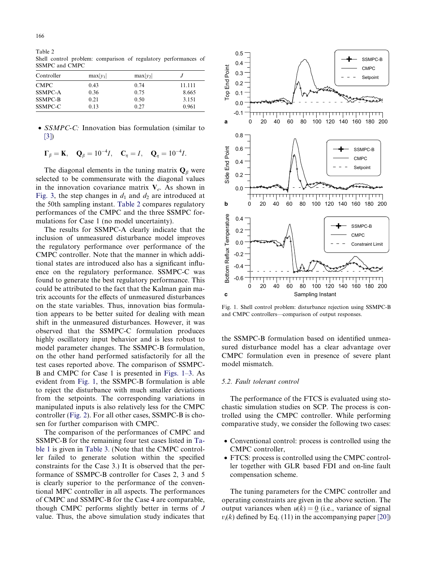166

Table 2 Shell control problem: comparison of regulatory performances of SSMPC and CMPC

| Controller     | $max v_1 $ | $max v_2 $ |        |
|----------------|------------|------------|--------|
| <b>CMPC</b>    | 0.43       | 0.74       | 11.111 |
| SSMPC-A        | 0.36       | 0.75       | 8.665  |
| <b>SSMPC-B</b> | 0.21       | 0.50       | 3.151  |
| SSMPC-C        | 0.13       | 0.27       | 0.961  |

• SSMPC-C: Innovation bias formulation (similar to [\[3\]\)](#page-17-0)

$$
\Gamma_{\beta} = \mathbf{K}, \quad \mathbf{Q}_{\beta} = 10^{-4}I, \quad \mathbf{C}_{\eta} = I, \quad \mathbf{Q}_{\eta} = 10^{-4}I.
$$

The diagonal elements in the tuning matrix  $\mathbf{Q}_{\beta}$  were selected to be commensurate with the diagonal values in the innovation covariance matrix  $V_e$ . As shown in [Fig. 3](#page-10-0), the step changes in  $d_1$  and  $d_2$  are introduced at the 50th sampling instant. Table 2 compares regulatory performances of the CMPC and the three SSMPC formulations for Case 1 (no model uncertainty).

The results for SSMPC-A clearly indicate that the inclusion of unmeasured disturbance model improves the regulatory performance over performance of the CMPC controller. Note that the manner in which additional states are introduced also has a significant influence on the regulatory performance. SSMPC-C was found to generate the best regulatory performance. This could be attributed to the fact that the Kalman gain matrix accounts for the effects of unmeasured disturbances on the state variables. Thus, innovation bias formulation appears to be better suited for dealing with mean shift in the unmeasured disturbances. However, it was observed that the SSMPC-C formulation produces highly oscillatory input behavior and is less robust to model parameter changes. The SSMPC-B formulation, on the other hand performed satisfactorily for all the test cases reported above. The comparison of SSMPC-B and CMPC for Case 1 is presented in Figs. 1–3. As evident from Fig. 1, the SSMPC-B formulation is able to reject the disturbance with much smaller deviations from the setpoints. The corresponding variations in manipulated inputs is also relatively less for the CMPC controller [\(Fig. 2\)](#page-10-0). For all other cases, SSMPC-B is chosen for further comparison with CMPC.

The comparison of the performances of CMPC and SSMPC-B for the remaining four test cases listed in [Ta](#page-8-0)[ble 1](#page-8-0) is given in [Table 3.](#page-10-0) (Note that the CMPC controller failed to generate solution within the specified constraints for the Case 3.) It is observed that the performance of SSMPC-B controller for Cases 2, 3 and 5 is clearly superior to the performance of the conventional MPC controller in all aspects. The performances of CMPC and SSMPC-B for the Case 4 are comparable, though CMPC performs slightly better in terms of J value. Thus, the above simulation study indicates that



Fig. 1. Shell control problem: disturbance rejection using SSMPC-B and CMPC controllers—comparison of output responses.

the SSMPC-B formulation based on identified unmeasured disturbance model has a clear advantage over CMPC formulation even in presence of severe plant model mismatch.

## 5.2. Fault tolerant control

The performance of the FTCS is evaluated using stochastic simulation studies on SCP. The process is controlled using the CMPC controller. While performing comparative study, we consider the following two cases:

- Conventional control: process is controlled using the CMPC controller,
- FTCS: process is controlled using the CMPC controller together with GLR based FDI and on-line fault compensation scheme.

The tuning parameters for the CMPC controller and operating constraints are given in the above section. The output variances when  $u(k)=0$  (i.e., variance of signal  $v_i(k)$  defined by Eq. (11) in the accompanying paper [\[20\]](#page-18-0))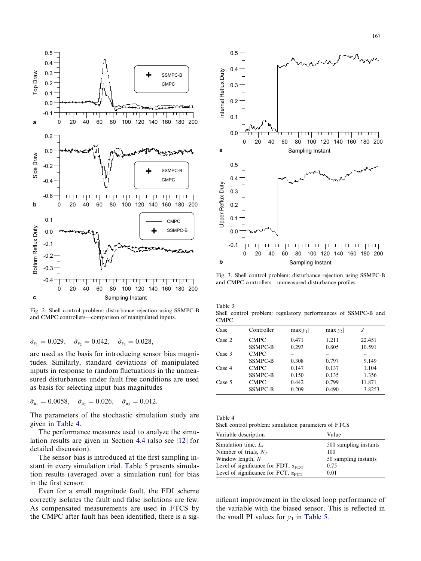<span id="page-10-0"></span>

Fig. 2. Shell control problem: disturbance rejection using SSMPC-B and CMPC controllers—comparison of manipulated inputs.

$$
\hat{\sigma}_{v_1}=0.029, \quad \hat{\sigma}_{v_2}=0.042, \quad \hat{\sigma}_{v_3}=0.028,
$$

are used as the basis for introducing sensor bias magnitudes. Similarly, standard deviations of manipulated inputs in response to random fluctuations in the unmeasured disturbances under fault free conditions are used as basis for selecting input bias magnitudes

$$
\hat{\sigma}_{u_1} = 0.0058, \quad \hat{\sigma}_{u_2} = 0.026, \quad \hat{\sigma}_{u_3} = 0.012.
$$

The parameters of the stochastic simulation study are given in Table 4.

The performance measures used to analyze the simulation results are given in Section [4.4](#page-7-0) (also see [\[12\]](#page-18-0) for detailed discussion).

The sensor bias is introduced at the first sampling instant in every simulation trial. [Table 5](#page-11-0) presents simulation results (averaged over a simulation run) for bias in the first sensor.

Even for a small magnitude fault, the FDI scheme correctly isolates the fault and false isolations are few. As compensated measurements are used in FTCS by the CMPC after fault has been identified, there is a sig-



Fig. 3. Shell control problem: disturbance rejection using SSMPC-B and CMPC controllers—unmeasured disturbance profiles.

| Table 3 |  |                                                               |  |  |
|---------|--|---------------------------------------------------------------|--|--|
|         |  | Shell control problem: regulatory performances of SSMPC-B and |  |  |
| CMPC    |  |                                                               |  |  |

| -----  |                |            |            |        |  |
|--------|----------------|------------|------------|--------|--|
| Case   | Controller     | $max y_1 $ | $max v_2 $ |        |  |
| Case 2 | <b>CMPC</b>    | 0.471      | 1.211      | 22.451 |  |
|        | <b>SSMPC-B</b> | 0.293      | 0.805      | 10.591 |  |
| Case 3 | <b>CMPC</b>    |            |            |        |  |
|        | <b>SSMPC-B</b> | 0.308      | 0.797      | 9.149  |  |
| Case 4 | <b>CMPC</b>    | 0.147      | 0.137      | 1.104  |  |
|        | <b>SSMPC-B</b> | 0.150      | 0.135      | 1.356  |  |
| Case 5 | <b>CMPC</b>    | 0.442      | 0.799      | 11.871 |  |
|        | <b>SSMPC-B</b> | 0.209      | 0.490      | 3.8253 |  |

| Table 4 |  |  |
|---------|--|--|
| $-11$   |  |  |

| Shell control problem: simulation parameters of FTCS |  |  |  |  |  |
|------------------------------------------------------|--|--|--|--|--|
|------------------------------------------------------|--|--|--|--|--|

| Variable description                                   | Value                 |
|--------------------------------------------------------|-----------------------|
| Simulation time, $L_{s}$                               | 500 sampling instants |
| Number of trials, $N_T$                                | 100                   |
| Window length, $N$                                     | 50 sampling instants  |
| Level of significance for FDT, $\alpha_{\text{FDT}}$   | 0.75                  |
| Level of significance for FCT, $\alpha$ <sub>FCT</sub> | 0.01                  |

nificant improvement in the closed loop performance of the variable with the biased sensor. This is reflected in the small PI values for  $y_1$  in [Table 5.](#page-11-0)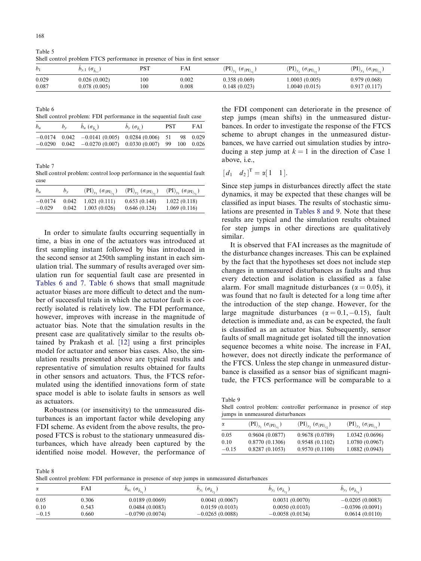| Shell control problem FTCS performance in presence of bias in first sensor |                                      |     |       |                                                  |                                                |                                                               |  |
|----------------------------------------------------------------------------|--------------------------------------|-----|-------|--------------------------------------------------|------------------------------------------------|---------------------------------------------------------------|--|
| b <sub>1</sub>                                                             | $b_{y,1}$ $(\sigma_{\hat{b}_{y,1}})$ | PST | FAI   | $({\rm PI})_{v_1}$ $(\sigma_{({\rm PI})_{v_2}})$ | ${\rm (PI)}_{y_2}$ $(\sigma_{\rm (PI)_{y_2}})$ | $\text{(PI)}_{y_3}$ $\left(\sigma_{\text{(PI)}_{y_3}}\right)$ |  |
| 0.029                                                                      | 0.026(0.002)                         | 100 | 0.002 | 0.358(0.069)                                     | 1.0003(0.005)                                  | 0.979(0.068)                                                  |  |
| 0.087                                                                      | 0.078(0.005)                         | 100 | 0.008 | 0.148(0.023)                                     | 1.0040 (0.015)                                 | 0.917(0.117)                                                  |  |

Table 6

Shell control problem: FDI performance in the sequential fault case

| $b_u$ | $b_v$ | $\hat{b}_u$ $(\sigma_{\hat{h}_u})$                            | $\hat{b}_y\ (\sigma_{\hat{b}_y})$ | <b>PST</b> | <b>FAI</b> |
|-------|-------|---------------------------------------------------------------|-----------------------------------|------------|------------|
|       |       | $-0.0174$ 0.042 $-0.0141$ (0.005) 0.0284 (0.006) 51           |                                   |            | 98 0.029   |
|       |       | $-0.0290$ 0.042 $-0.0270$ (0.007) 0.0330 (0.007) 99 100 0.026 |                                   |            |            |

Table 7

Shell control problem: control loop performance in the sequential fault case

| $b_u$     | $b_v$ | $(PI)_{v_1} (\sigma_{(PI)_{v_1}})$ | $({\rm PI})_{y_2}$ $(\sigma_{({\rm PI})_{y_2}})$ | $({\rm PI})_{y_3}$ $(\sigma_{({\rm PI})_{y_3}})$ |
|-----------|-------|------------------------------------|--------------------------------------------------|--------------------------------------------------|
| $-0.0174$ | 0.042 | 1.021(0.111)                       | 0.653(0.148)                                     | 1.022(0.118)                                     |
| $-0.029$  | 0.042 | 1.003(0.026)                       | 0.646(0.124)                                     | 1.069(0.116)                                     |

In order to simulate faults occurring sequentially in time, a bias in one of the actuators was introduced at first sampling instant followed by bias introduced in the second sensor at 250th sampling instant in each simulation trial. The summary of results averaged over simulation run for sequential fault case are presented in Tables 6 and 7. Table 6 shows that small magnitude actuator biases are more difficult to detect and the number of successful trials in which the actuator fault is correctly isolated is relatively low. The FDI performance, however, improves with increase in the magnitude of actuator bias. Note that the simulation results in the present case are qualitatively similar to the results obtained by Prakash et al. [\[12\]](#page-18-0) using a first principles model for actuator and sensor bias cases. Also, the simulation results presented above are typical results and representative of simulation results obtained for faults in other sensors and actuators. Thus, the FTCS reformulated using the identified innovations form of state space model is able to isolate faults in sensors as well as actuators.

Robustness (or insensitivity) to the unmeasured disturbances is an important factor while developing any FDI scheme. As evident from the above results, the proposed FTCS is robust to the stationary unmeasured disturbances, which have already been captured by the identified noise model. However, the performance of the FDI component can deteriorate in the presence of step jumps (mean shifts) in the unmeasured disturbances. In order to investigate the response of the FTCS scheme to abrupt changes in the unmeasured disturbances, we have carried out simulation studies by introducing a step jump at  $k = 1$  in the direction of Case 1 above, i.e.,

$$
[d_1 \quad d_2]^{\mathrm{T}} = \alpha[1 \quad 1].
$$

Since step jumps in disturbances directly affect the state dynamics, it may be expected that these changes will be classified as input biases. The results of stochastic simulations are presented in Tables 8 and 9. Note that these results are typical and the simulation results obtained for step jumps in other directions are qualitatively similar.

It is observed that FAI increases as the magnitude of the disturbance changes increases. This can be explained by the fact that the hypotheses set does not include step changes in unmeasured disturbances as faults and thus every detection and isolation is classified as a false alarm. For small magnitude disturbances ( $\alpha = 0.05$ ), it was found that no fault is detected for a long time after the introduction of the step change. However, for the large magnitude disturbances ( $\alpha = 0.1, -0.15$ ), fault detection is immediate and, as can be expected, the fault is classified as an actuator bias. Subsequently, sensor faults of small magnitude get isolated till the innovation sequence becomes a white noise. The increase in FAI, however, does not directly indicate the performance of the FTCS. Unless the step change in unmeasured disturbance is classified as a sensor bias of significant magnitude, the FTCS performance will be comparable to a

Table 9

Shell control problem: controller performance in presence of step jumps in unmeasured disturbances

| α       | $(PI)_{y_1} (\sigma_{(PI)_{y_1}})$ | $(PI)_{v_2} (\sigma_{(PI)_{v_2}})$ | $(PI)_{y_3}$ $(\sigma_{(PI)_{y_3}})$ |
|---------|------------------------------------|------------------------------------|--------------------------------------|
| 0.05    | 0.9604(0.0877)                     | 0.9678(0.0789)                     | 1.0342 (0.0696)                      |
| 0.10    | 0.8770(0.1306)                     | 0.9548(0.1102)                     | 1.0780 (0.0967)                      |
| $-0.15$ | 0.8287(0.1053)                     | 0.9570(0.1100)                     | 1.0882 (0.0943)                      |

Table 8

Shell control problem: FDI performance in presence of step jumps in unmeasured disturbances

| α       | FAI   | $b_{u_1}$ ( $\sigma_{\hat{b}_u}$ | $(\sigma_{\hat{b}_v}$<br>$v_{v}$ | $(\sigma_{\hat{b}_v}$<br>$v_{v_2}$ | $(\sigma_{\hat{b}_{\nu\alpha}})$<br>$v_{v_2}$ |
|---------|-------|----------------------------------|----------------------------------|------------------------------------|-----------------------------------------------|
| 0.05    | 0.306 | 0.0189(0.0069)                   | 0.0041(0.0067)                   | 0.0031(0.0070)                     | $-0.0205(0.0083)$                             |
| 0.10    | 0.543 | 0.0484(0.0083)                   | 0.0159(0.0103)                   | 0.0050(0.0103)                     | $-0.0396(0.0091)$                             |
| $-0.15$ | 0.660 | $-0.0790(0.0074)$                | $-0.0265(0.0088)$                | $-0.0058(0.0134)$                  | 0.0614(0.0110)                                |

<span id="page-11-0"></span>Table 5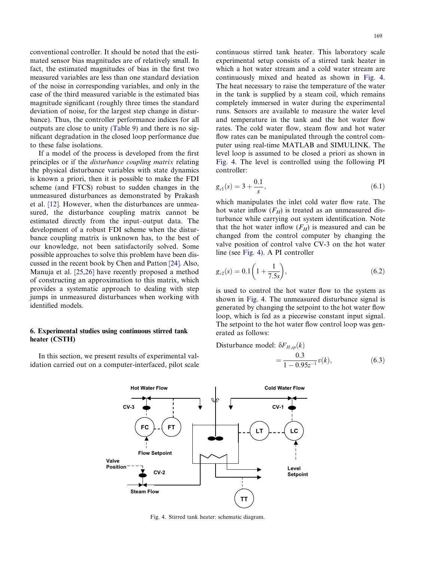<span id="page-12-0"></span>conventional controller. It should be noted that the estimated sensor bias magnitudes are of relatively small. In fact, the estimated magnitudes of bias in the first two measured variables are less than one standard deviation of the noise in corresponding variables, and only in the case of the third measured variable is the estimated bias magnitude significant (roughly three times the standard deviation of noise, for the largest step change in disturbance). Thus, the controller performance indices for all outputs are close to unity ([Table 9](#page-11-0)) and there is no significant degradation in the closed loop performance due to these false isolations.

If a model of the process is developed from the first principles or if the disturbance coupling matrix relating the physical disturbance variables with state dynamics is known a priori, then it is possible to make the FDI scheme (and FTCS) robust to sudden changes in the unmeasured disturbances as demonstrated by Prakash et al. [\[12\].](#page-18-0) However, when the disturbances are unmeasured, the disturbance coupling matrix cannot be estimated directly from the input–output data. The development of a robust FDI scheme when the disturbance coupling matrix is unknown has, to the best of our knowledge, not been satisfactorily solved. Some possible approaches to solve this problem have been discussed in the recent book by Chen and Patton [\[24\]](#page-18-0). Also, Manuja et al. [\[25,26\]](#page-18-0) have recently proposed a method of constructing an approximation to this matrix, which provides a systematic approach to dealing with step jumps in unmeasured disturbances when working with identified models.

# 6. Experimental studies using continuous stirred tank heater (CSTH)

In this section, we present results of experimental validation carried out on a computer-interfaced, pilot scale continuous stirred tank heater. This laboratory scale experimental setup consists of a stirred tank heater in which a hot water stream and a cold water stream are continuously mixed and heated as shown in Fig. 4. The heat necessary to raise the temperature of the water in the tank is supplied by a steam coil, which remains completely immersed in water during the experimental runs. Sensors are available to measure the water level and temperature in the tank and the hot water flow rates. The cold water flow, steam flow and hot water flow rates can be manipulated through the control computer using real-time MATLAB and SIMULINK. The level loop is assumed to be closed a priori as shown in Fig. 4. The level is controlled using the following PI controller:

$$
g_{c1}(s) = 3 + \frac{0.1}{s},\tag{6.1}
$$

which manipulates the inlet cold water flow rate. The hot water inflow  $(F_H)$  is treated as an unmeasured disturbance while carrying out system identification. Note that the hot water inflow  $(F_H)$  is measured and can be changed from the control computer by changing the valve position of control valve CV-3 on the hot water line (see Fig. 4). A PI controller

$$
g_{c2}(s) = 0.1 \left( 1 + \frac{1}{7.5s} \right),\tag{6.2}
$$

is used to control the hot water flow to the system as shown in Fig. 4. The unmeasured disturbance signal is generated by changing the setpoint to the hot water flow loop, which is fed as a piecewise constant input signal. The setpoint to the hot water flow control loop was generated as follows:

Disturbance model:  $\delta F_{H,sp}(k)$ 

$$
=\frac{0.3}{1-0.95z^{-1}}v(k),\tag{6.3}
$$



Hot Water Flow **Cold Water Flow** 

Fig. 4. Stirred tank heater: schematic diagram.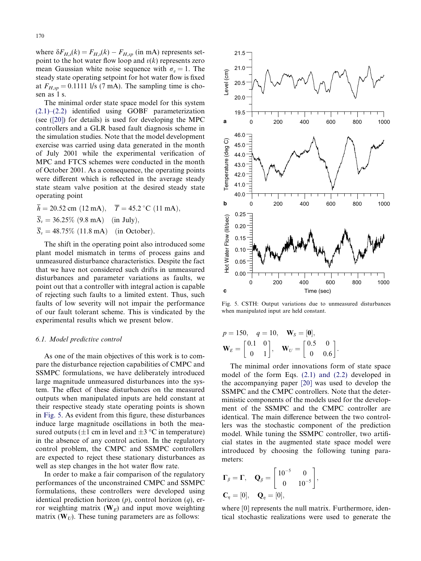<span id="page-13-0"></span>where  $\delta F_{H,s}(k) = F_{H,s}(k) - F_{H,sp}$  (in mA) represents setpoint to the hot water flow loop and  $v(k)$  represents zero mean Gaussian white noise sequence with  $\sigma_v = 1$ . The steady state operating setpoint for hot water flow is fixed at  $F_{H,sp} = 0.11111/s$  (7 mA). The sampling time is chosen as 1 s.

The minimal order state space model for this system [\(2.1\)–\(2.2\)](#page-2-0) identified using GOBF parameterization (see ([\[20\]](#page-18-0)) for details) is used for developing the MPC controllers and a GLR based fault diagnosis scheme in the simulation studies. Note that the model development exercise was carried using data generated in the month of July 2001 while the experimental verification of MPC and FTCS schemes were conducted in the month of October 2001. As a consequence, the operating points were different which is reflected in the average steady state steam valve position at the desired steady state operating point

 $\overline{h} = 20.52$  cm (12 mA),  $\overline{T} = 45.2$  °C (11 mA),  $\overline{S}_v = 36.25\%$  (9.8 mA) (in July).  $\overline{S}_v = 48.75\%$  (11.8 mA) (in October).

The shift in the operating point also introduced some plant model mismatch in terms of process gains and unmeasured disturbance characteristics. Despite the fact that we have not considered such drifts in unmeasured disturbances and parameter variations as faults, we point out that a controller with integral action is capable of rejecting such faults to a limited extent. Thus, such faults of low severity will not impair the performance of our fault tolerant scheme. This is vindicated by the experimental results which we present below.

## 6.1. Model predictive control

As one of the main objectives of this work is to compare the disturbance rejection capabilities of CMPC and SSMPC formulations, we have deliberately introduced large magnitude unmeasured disturbances into the system. The effect of these disturbances on the measured outputs when manipulated inputs are held constant at their respective steady state operating points is shown in Fig. 5. As evident from this figure, these disturbances induce large magnitude oscillations in both the measured outputs ( $\pm 1$  cm in level and  $\pm 3$  °C in temperature) in the absence of any control action. In the regulatory control problem, the CMPC and SSMPC controllers are expected to reject these stationary disturbances as well as step changes in the hot water flow rate.

In order to make a fair comparison of the regulatory performances of the unconstrained CMPC and SSMPC formulations, these controllers were developed using identical prediction horizon  $(p)$ , control horizon  $(q)$ , error weighting matrix  $(\mathbf{W}_E)$  and input move weighting matrix  $(\mathbf{W}_U)$ . These tuning parameters are as follows:



Fig. 5. CSTH: Output variations due to unmeasured disturbances when manipulated input are held constant.

$$
p = 150, \quad q = 10, \quad \mathbf{W}_S = [\mathbf{0}],
$$

$$
\mathbf{W}_E = \begin{bmatrix} 0.1 & 0 \\ 0 & 1 \end{bmatrix}, \quad \mathbf{W}_U = \begin{bmatrix} 0.5 & 0 \\ 0 & 0.6 \end{bmatrix}.
$$

The minimal order innovations form of state space model of the form Eqs. [\(2.1\) and \(2.2\)](#page-2-0) developed in the accompanying paper [\[20\]](#page-18-0) was used to develop the SSMPC and the CMPC controllers. Note that the deterministic components of the models used for the development of the SSMPC and the CMPC controller are identical. The main difference between the two controllers was the stochastic component of the prediction model. While tuning the SSMPC controller, two artificial states in the augmented state space model were introduced by choosing the following tuning parameters:

$$
\Gamma_{\beta} = \Gamma, \quad \mathbf{Q}_{\beta} = \begin{bmatrix} 10^{-5} & 0 \\ 0 & 10^{-5} \end{bmatrix},
$$
  

$$
\mathbf{C}_{\eta} = [0], \quad \mathbf{Q}_{\eta} = [0],
$$

where [0] represents the null matrix. Furthermore, identical stochastic realizations were used to generate the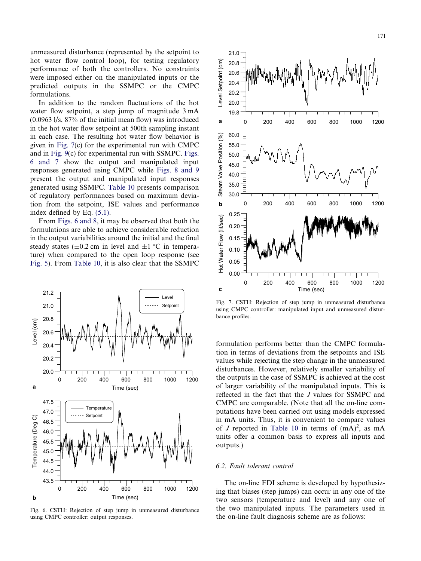unmeasured disturbance (represented by the setpoint to hot water flow control loop), for testing regulatory performance of both the controllers. No constraints were imposed either on the manipulated inputs or the predicted outputs in the SSMPC or the CMPC formulations.

In addition to the random fluctuations of the hot water flow setpoint, a step jump of magnitude 3 mA (0.0963 l/s, 87% of the initial mean flow) was introduced in the hot water flow setpoint at 500th sampling instant in each case. The resulting hot water flow behavior is given in Fig. 7(c) for the experimental run with CMPC and in [Fig. 9](#page-15-0)(c) for experimental run with SSMPC. Figs. 6 and 7 show the output and manipulated input responses generated using CMPC while [Figs. 8 and 9](#page-15-0) present the output and manipulated input responses generated using SSMPC. [Table 10](#page-15-0) presents comparison of regulatory performances based on maximum deviation from the setpoint, ISE values and performance index defined by Eq. [\(5.1\)](#page-8-0).

From Figs. 6 and 8, it may be observed that both the formulations are able to achieve considerable reduction in the output variabilities around the initial and the final steady states ( $\pm 0.2$  cm in level and  $\pm 1$  °C in temperature) when compared to the open loop response (see [Fig. 5\)](#page-13-0). From [Table 10,](#page-15-0) it is also clear that the SSMPC



Fig. 6. CSTH: Rejection of step jump in unmeasured disturbance using CMPC controller: output responses.



Fig. 7. CSTH: Rejection of step jump in unmeasured disturbance using CMPC controller: manipulated input and unmeasured disturbance profiles.

formulation performs better than the CMPC formulation in terms of deviations from the setpoints and ISE values while rejecting the step change in the unmeasured disturbances. However, relatively smaller variability of the outputs in the case of SSMPC is achieved at the cost of larger variability of the manipulated inputs. This is reflected in the fact that the J values for SSMPC and CMPC are comparable. (Note that all the on-line computations have been carried out using models expressed in mA units. Thus, it is convenient to compare values of J reported in [Table 10](#page-15-0) in terms of  $(mA)^2$ , as mA units offer a common basis to express all inputs and outputs.)

## 6.2. Fault tolerant control

The on-line FDI scheme is developed by hypothesizing that biases (step jumps) can occur in any one of the two sensors (temperature and level) and any one of the two manipulated inputs. The parameters used in the on-line fault diagnosis scheme are as follows: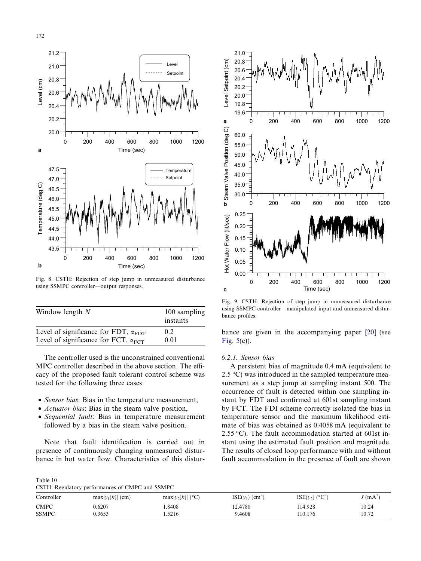<span id="page-15-0"></span>

Fig. 8. CSTH: Rejection of step jump in unmeasured disturbance using SSMPC controller—output responses.

| Window length $N$                                    | 100 sampling<br>instants |
|------------------------------------------------------|--------------------------|
| Level of significance for FDT, $\alpha_{\text{FDT}}$ | 0.2                      |
| Level of significance for FCT, $\alpha_{\text{FCT}}$ | 0.01                     |

The controller used is the unconstrained conventional MPC controller described in the above section. The efficacy of the proposed fault tolerant control scheme was tested for the following three cases

- *Sensor bias*: Bias in the temperature measurement,
- *Actuator bias*: Bias in the steam valve position,
- Sequential fault: Bias in temperature measurement followed by a bias in the steam valve position.

Note that fault identification is carried out in presence of continuously changing unmeasured disturbance in hot water flow. Characteristics of this distur-

Table 10 CSTH: Regulatory performances of CMPC and SSMPC



Fig. 9. CSTH: Rejection of step jump in unmeasured disturbance using SSMPC controller—manipulated input and unmeasured distur-<br>bance profiles.

bance are given in the accompanying paper [\[20\]](#page-18-0) (see [Fig. 5](#page-13-0)(c)).

# 6.2.1. Sensor bias

A persistent bias of magnitude 0.4 mA (equivalent to 2.5  $\degree$ C) was introduced in the sampled temperature measurement as a step jump at sampling instant 500. The occurrence of fault is detected within one sampling instant by FDT and confirmed at 601st sampling instant by FCT. The FDI scheme correctly isolated the bias in temperature sensor and the maximum likelihood estimate of bias was obtained as 0.4058 mA (equivalent to 2.55 °C). The fault accommodation started at 601st instant using the estimated fault position and magnitude. The results of closed loop performance with and without fault accommodation in the presence of fault are shown

| Controller   | $\max y_1(k) $ (cm) | $\max y_2(k) $ (°C) | $ISE(y_1)$ (cm <sup>2</sup> ) | $ISE(y_2)$ (°C <sup>2</sup> ) | $J$ (mA <sup>2</sup> ) |
|--------------|---------------------|---------------------|-------------------------------|-------------------------------|------------------------|
| <b>CMPC</b>  | 0.6207              | .8408               | 2.4780                        | 14.928                        | 10.24                  |
| <b>SSMPC</b> | 0.3653              | . . 5216            | 9.4608                        | 110.176                       | 10.72                  |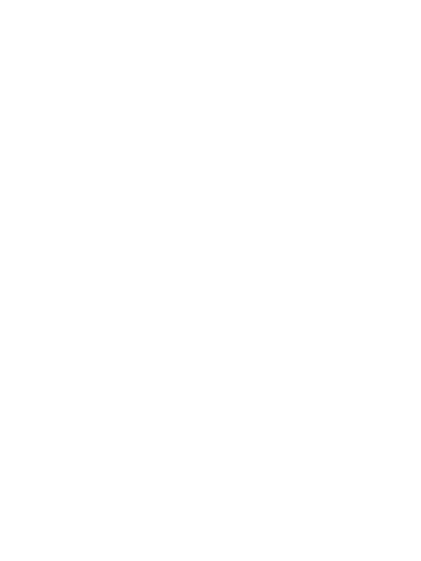$<+$